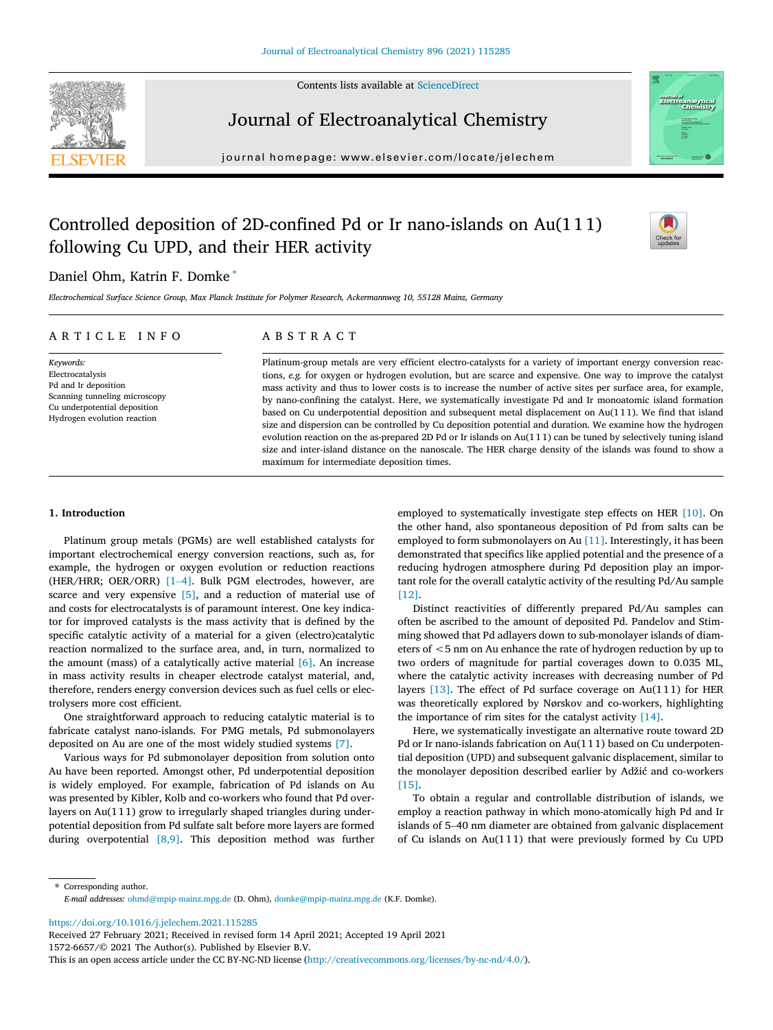



# Journal of Electroanalytical Chemistry

journal homepage: [www.elsevier.com/locate/jelechem](http://www.elsevier.com/locate/jelechem)



# Controlled deposition of 2D-confined Pd or Ir nano-islands on Au(1 1 1) following Cu UPD, and their HER activity



## Daniel Ohm, Katrin F. Domke \*

Electrochemical Surface Science Group, Max Planck Institute for Polymer Research, Ackermannweg 10, 55128 Mainz, Germany

## ARTICLE INFO

Keywords: Electrocatalysis Pd and Ir deposition Scanning tunneling microscopy Cu underpotential deposition Hydrogen evolution reaction

# ABSTRACT

Platinum-group metals are very efficient electro-catalysts for a variety of important energy conversion reactions, e.g. for oxygen or hydrogen evolution, but are scarce and expensive. One way to improve the catalyst mass activity and thus to lower costs is to increase the number of active sites per surface area, for example, by nano-confining the catalyst. Here, we systematically investigate Pd and Ir monoatomic island formation based on Cu underpotential deposition and subsequent metal displacement on Au(1 1 1). We find that island size and dispersion can be controlled by Cu deposition potential and duration. We examine how the hydrogen evolution reaction on the as-prepared 2D Pd or Ir islands on Au(1 1 1) can be tuned by selectively tuning island size and inter-island distance on the nanoscale. The HER charge density of the islands was found to show a maximum for intermediate deposition times.

## 1. Introduction

Platinum group metals (PGMs) are well established catalysts for important electrochemical energy conversion reactions, such as, for example, the hydrogen or oxygen evolution or reduction reactions Platinum group metals (PGMs) are well established catalysts for<br>important electrochemical energy conversion reactions, such as, for<br>example, the hydrogen or oxygen evolution or reduction reactions<br>(HER/HRR; OER/ORR) [\[1](#page-6-0)–[4\].](#page-6-0) scarce and very expensive [\[5\]](#page-6-0), and a reduction of material use of and costs for electrocatalysts is of paramount interest. One key indicator for improved catalysts is the mass activity that is defined by the specific catalytic activity of a material for a given (electro)catalytic reaction normalized to the surface area, and, in turn, normalized to the amount (mass) of a catalytically active material [\[6\]](#page-6-0). An increase in mass activity results in cheaper electrode catalyst material, and, therefore, renders energy conversion devices such as fuel cells or electrolysers more cost efficient.

One straightforward approach to reducing catalytic material is to fabricate catalyst nano-islands. For PMG metals, Pd submonolayers deposited on Au are one of the most widely studied systems [\[7\].](#page-6-0)

Various ways for Pd submonolayer deposition from solution onto Au have been reported. Amongst other, Pd underpotential deposition is widely employed. For example, fabrication of Pd islands on Au was presented by Kibler, Kolb and co-workers who found that Pd overlayers on Au(111) grow to irregularly shaped triangles during underpotential deposition from Pd sulfate salt before more layers are formed during overpotential [\[8,9\].](#page-6-0) This deposition method was further

employed to systematically investigate step effects on HER [\[10\].](#page-6-0) On the other hand, also spontaneous deposition of Pd from salts can be employed to form submonolayers on Au [\[11\]](#page-6-0). Interestingly, it has been demonstrated that specifics like applied potential and the presence of a reducing hydrogen atmosphere during Pd deposition play an important role for the overall catalytic activity of the resulting Pd/Au sample [\[12\].](#page-6-0)

Distinct reactivities of differently prepared Pd/Au samples can often be ascribed to the amount of deposited Pd. Pandelov and Stimming showed that Pd adlayers down to sub-monolayer islands of diameters of <5 nm on Au enhance the rate of hydrogen reduction by up to two orders of magnitude for partial coverages down to 0.035 ML, where the catalytic activity increases with decreasing number of Pd layers  $[13]$ . The effect of Pd surface coverage on Au(111) for HER was theoretically explored by Nørskov and co-workers, highlighting the importance of rim sites for the catalyst activity [\[14\]](#page-6-0).

Here, we systematically investigate an alternative route toward 2D Pd or Ir nano-islands fabrication on Au(111) based on Cu underpotential deposition (UPD) and subsequent galvanic displacement, similar to the monolayer deposition described earlier by Adžić and co-workers [\[15\].](#page-6-0)

To obtain a regular and controllable distribution of islands, we employ a reaction pathway in which mono-atomically high Pd and Ir [15].<br>To obtain a regular and controllable distribution of islands, we<br>employ a reaction pathway in which mono-atomically high Pd and Ir<br>islands of 5–40 nm diameter are obtained from galvanic displacement of Cu islands on  $Au(111)$  that were previously formed by Cu UPD

\* Corresponding author. E-mail addresses: [ohmd@mpip-mainz.mpg.de](mailto:ohmd@mpip-mainz.mpg.de) (D. Ohm), [domke@mpip-mainz.mpg.de](mailto:domke@mpip-mainz.mpg.de) (K.F. Domke).

<https://doi.org/10.1016/j.jelechem.2021.115285>

Received 27 February 2021; Received in revised form 14 April 2021; Accepted 19 April 2021

1572-6657/© 2021 The Author(s). Published by Elsevier B.V.

This is an open access article under the CC BY-NC-ND license [\(http://creativecommons.org/licenses/by-nc-nd/4.0/](http://creativecommons.org/licenses/by-nc-nd/4.0/)).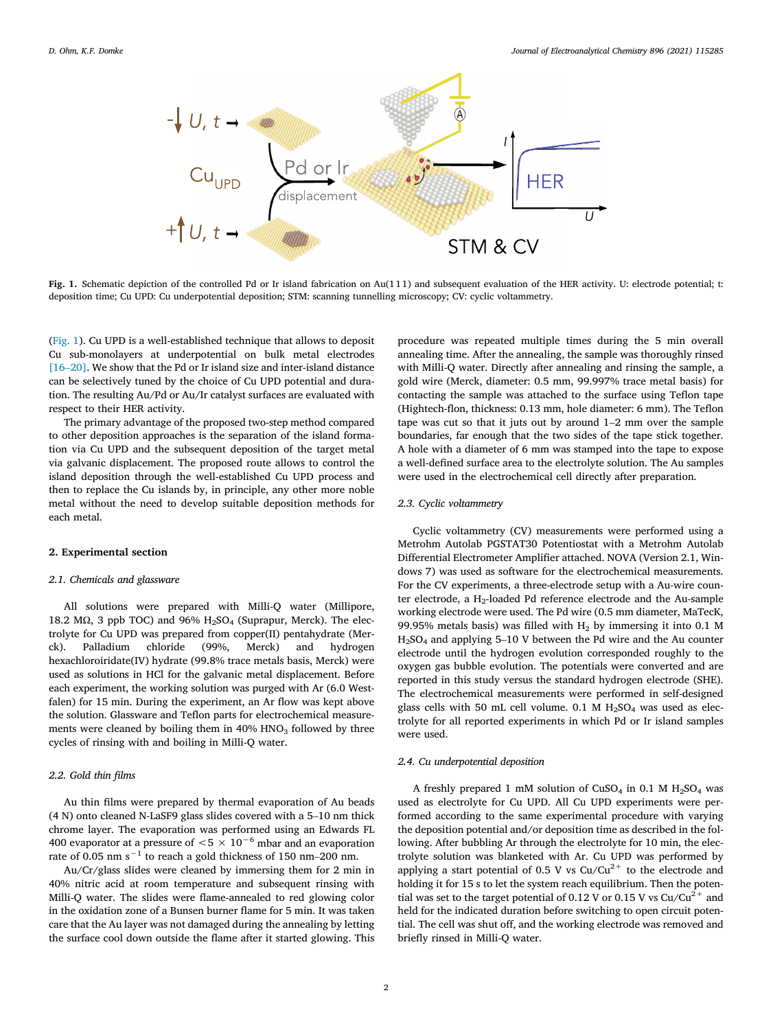

Fig. 1. Schematic depiction of the controlled Pd or Ir island fabrication on Au(111) and subsequent evaluation of the HER activity. U: electrode potential; t: deposition time; Cu UPD: Cu underpotential deposition; STM: scanning tunnelling microscopy; CV: cyclic voltammetry.

(Fig. 1). Cu UPD is a well-established technique that allows to deposit Cu sub-monolayers at underpotential on bulk metal electrodes (Fig. 1). Cu UPD is a well-established technique that allows to deposit Cu sub-monolayers at underpotential on bulk metal electrodes [\[16](#page-6-0)–[20\].](#page-6-0) We show that the Pd or Ir island size and inter-island distance can be selectively tuned by the choice of Cu UPD potential and duration. The resulting Au/Pd or Au/Ir catalyst surfaces are evaluated with respect to their HER activity.

The primary advantage of the proposed two-step method compared to other deposition approaches is the separation of the island formation via Cu UPD and the subsequent deposition of the target metal via galvanic displacement. The proposed route allows to control the island deposition through the well-established Cu UPD process and then to replace the Cu islands by, in principle, any other more noble metal without the need to develop suitable deposition methods for each metal.

#### 2. Experimental section

#### 2.1. Chemicals and glassware

All solutions were prepared with Milli-Q water (Millipore, 18.2 MΩ, 3 ppb TOC) and 96%  $H<sub>2</sub>SO<sub>4</sub>$  (Suprapur, Merck). The electrolyte for Cu UPD was prepared from copper(II) pentahydrate (Merck). Palladium chloride (99%, Merck) and hydrogen hexachloroiridate(IV) hydrate (99.8% trace metals basis, Merck) were used as solutions in HCl for the galvanic metal displacement. Before each experiment, the working solution was purged with Ar (6.0 Westfalen) for 15 min. During the experiment, an Ar flow was kept above the solution. Glassware and Teflon parts for electrochemical measurements were cleaned by boiling them in  $40\%$  HNO<sub>3</sub> followed by three cycles of rinsing with and boiling in Milli-Q water.

#### 2.2. Gold thin films

Au thin films were prepared by thermal evaporation of Au beads (4 N) onto cleaned N-LaSF9 glass slides covered with a 5–10 nm thick chrome layer. The evaporation was performed using an Edwards FL 400 evaporator at a pressure of  $< 5 \times 10^{-6}$  mbar and an evaporation rate of 0.05 nm s<sup>-1</sup> to reach a gold thickness of 150 nm–200 nm.

Au/Cr/glass slides were cleaned by immersing them for 2 min in 40% nitric acid at room temperature and subsequent rinsing with Milli-Q water. The slides were flame-annealed to red glowing color in the oxidation zone of a Bunsen burner flame for 5 min. It was taken care that the Au layer was not damaged during the annealing by letting the surface cool down outside the flame after it started glowing. This procedure was repeated multiple times during the 5 min overall annealing time. After the annealing, the sample was thoroughly rinsed with Milli-Q water. Directly after annealing and rinsing the sample, a gold wire (Merck, diameter: 0.5 mm, 99.997% trace metal basis) for contacting the sample was attached to the surface using Teflon tape (Hightech-flon, thickness: 0.13 mm, hole diameter: 6 mm). The Teflon tape was cut so th contacting the sample was attached to the surface using Teflon tape (Hightech-flon, thickness: 0.13 mm, hole diameter: 6 mm). The Teflon boundaries, far enough that the two sides of the tape stick together. A hole with a diameter of 6 mm was stamped into the tape to expose a well-defined surface area to the electrolyte solution. The Au samples were used in the electrochemical cell directly after preparation.

### 2.3. Cyclic voltammetry

Cyclic voltammetry (CV) measurements were performed using a Metrohm Autolab PGSTAT30 Potentiostat with a Metrohm Autolab Differential Electrometer Amplifier attached. NOVA (Version 2.1, Windows 7) was used as software for the electrochemical measurements. For the CV experiments, a three-electrode setup with a Au-wire counter electrode, a H<sub>2</sub>-loaded Pd reference electrode and the Au-sample working electrode were used. The Pd wire (0.5 mm diameter, MaTecK, 99.95% metals basis) was filled with  $H_2$  by immersing it into 0.1 M ter electrode, a H<sub>2</sub>-loaded Pd reference electrode and the Au-sample working electrode were used. The Pd wire (0.5 mm diameter, MaTecK, 99.95% metals basis) was filled with H<sub>2</sub> by immersing it into 0.1 M H<sub>2</sub>SO<sub>4</sub> and a electrode until the hydrogen evolution corresponded roughly to the oxygen gas bubble evolution. The potentials were converted and are reported in this study versus the standard hydrogen electrode (SHE). The electrochemical measurements were performed in self-designed glass cells with 50 mL cell volume. 0.1 M  $H<sub>2</sub>SO<sub>4</sub>$  was used as electrolyte for all reported experiments in which Pd or Ir island samples were used.

#### 2.4. Cu underpotential deposition

A freshly prepared 1 mM solution of CuSO<sub>4</sub> in 0.1 M  $H<sub>2</sub>SO<sub>4</sub>$  was used as electrolyte for Cu UPD. All Cu UPD experiments were performed according to the same experimental procedure with varying the deposition potential and/or deposition time as described in the following. After bubbling Ar through the electrolyte for 10 min, the electrolyte solution was blanketed with Ar. Cu UPD was performed by applying a start potential of 0.5 V vs  $Cu/Cu^{2+}$  to the electrode and holding it for 15 s to let the system reach equilibrium. Then the potential was set to the target potential of 0.12 V or 0.15 V vs  $Cu/Cu^{2+}$  and held for the indicated duration before switching to open circuit potential. The cell was shut off, and the working electrode was removed and briefly rinsed in Milli-Q water.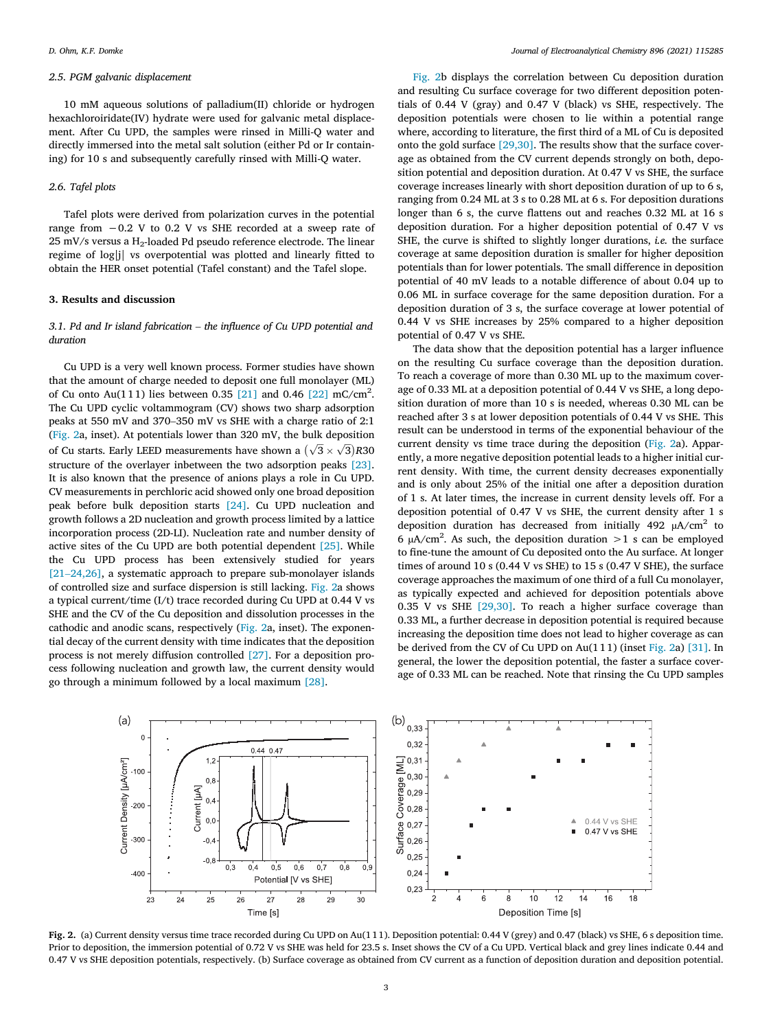#### <span id="page-2-0"></span>2.5. PGM galvanic displacement

10 mM aqueous solutions of palladium(II) chloride or hydrogen hexachloroiridate(IV) hydrate were used for galvanic metal displacement. After Cu UPD, the samples were rinsed in Milli-Q water and directly immersed into the metal salt solution (either Pd or Ir containing) for 10 s and subsequently carefully rinsed with Milli-Q water.

#### 2.6. Tafel plots

Tafel plots were derived from polarization curves in the potential range from −0.2 V to 0.2 V vs SHE recorded at a sweep rate of  $25$  mV/s versus a H<sub>2</sub>-loaded Pd pseudo reference electrode. The linear regime of log|j| vs overpotential was plotted and linearly fitted to obtain the HER onset potential (Tafel constant) and the Tafel slope.

### 3. Results and discussion

## 3.1. Pd and Ir island fabrication – the influence of Cu UPD potential and duration

Cu UPD is a very well known process. Former studies have shown that the amount of charge needed to deposit one full monolayer (ML) of Cu onto Au(111) lies between 0.35 [21] and 0.46 [22] mC/cm<sup>2</sup>. The Cu UPD cyclic voltammogram (CV) shows two sharp adsorption peaks at 550 mV and 370– of Cu onto Au(111) lies between 0.35 [\[21\]](#page-6-0) and 0.46 [\[22\]](#page-6-0) mC/cm<sup>2</sup>. The Cu UPD cyclic voltammogram (CV) shows two sharp adsorption (Fig. 2a, inset). At potentials lower than 320 mV, the bulk deposition of Cu starts. Early LEED measurements have shown a  $(\sqrt{3} \times \sqrt{3})$ R30 structure of the overlayer inbetween the two adsorption peaks [\[23\]](#page-6-0). It is also known that the presence of anions plays a role in Cu UPD. CV measurements in perchloric acid showed only one broad deposition peak before bulk deposition starts [\[24\]](#page-6-0). Cu UPD nucleation and growth follows a 2D nucleation and growth process limited by a lattice incorporation process (2D-LI). Nucleation rate and number density of active sites of the Cu UPD are both potential dependent [\[25\]](#page-6-0). While the Cu UPD process has been extensively studied for years incorporation process (2D-LI). Nucleation rate and number density of active sites of the Cu UPD are both potential dependent [25]. While the Cu UPD process has been extensively studied for years [\[21](#page-6-0)–[24,26\]](#page-6-0), a systematic ap of controlled size and surface dispersion is still lacking. Fig. 2a shows a typical current/time (I/t) trace recorded during Cu UPD at 0.44 V vs SHE and the CV of the Cu deposition and dissolution processes in the cathodic and anodic scans, respectively (Fig. 2a, inset). The exponential decay of the current density with time indicates that the deposition process is not merely diffusion controlled [\[27\]](#page-6-0). For a deposition process following nucleation and growth law, the current density would go through a minimum followed by a local maximum [\[28\].](#page-6-0)

Fig. 2b displays the correlation between Cu deposition duration and resulting Cu surface coverage for two different deposition potentials of 0.44 V (gray) and 0.47 V (black) vs SHE, respectively. The deposition potentials were chosen to lie within a potential range where, according to literature, the first third of a ML of Cu is deposited onto the gold surface [\[29,30\]](#page-6-0). The results show that the surface coverage as obtained from the CV current depends strongly on both, deposition potential and deposition duration. At 0.47 V vs SHE, the surface coverage increases linearly with short deposition duration of up to 6 s, ranging from 0.24 ML at 3 s to 0.28 ML at 6 s. For deposition durations longer than 6 s, the curve flattens out and reaches 0.32 ML at 16 s deposition duration. For a higher deposition potential of 0.47 V vs SHE, the curve is shifted to slightly longer durations, *i.e.* the surface coverage at same deposition duration is smaller for higher deposition potentials than for lower potentials. The small difference in deposition potential of 40 mV leads to a notable difference of about 0.04 up to 0.06 ML in surface coverage for the same deposition duration. For a deposition duration of 3 s, the surface coverage at lower potential of 0.44 V vs SHE increases by 25% compared to a higher deposition potential of 0.47 V vs SHE.

The data show that the deposition potential has a larger influence on the resulting Cu surface coverage than the deposition duration. To reach a coverage of more than 0.30 ML up to the maximum coverage of 0.33 ML at a deposition potential of 0.44 V vs SHE, a long deposition duration of more than 10 s is needed, whereas 0.30 ML can be reached after 3 s at lower deposition potentials of 0.44 V vs SHE. This result can be understood in terms of the exponential behaviour of the current density vs time trace during the deposition (Fig. 2a). Apparently, a more negative deposition potential leads to a higher initial current density. With time, the current density decreases exponentially and is only about 25% of the initial one after a deposition duration of 1 s. At later times, the increase in current density levels off. For a deposition potential of 0.47 V vs SHE, the current density after 1 s deposition duration has decreased from initially 492  $\mu$ A/cm<sup>2</sup> to 6  $\mu$ A/cm<sup>2</sup>. As such, the deposition duration > 1 s can be employed to fine-tune the amount of Cu deposited onto the Au surface. At longer times of around 10 s (0.44 V vs SHE) to 15 s (0.47 V SHE), the surface coverage approaches the maximum of one third of a full Cu monolayer, as typically expected and achieved for deposition potentials above 0.35 V vs SHE [\[29,30\]](#page-6-0). To reach a higher surface coverage than 0.33 ML, a further decrease in deposition potential is required because increasing the deposition time does not lead to higher coverage as can be derived from the CV of Cu UPD on Au(1 1 1) (inset Fig. 2a) [\[31\].](#page-6-0) In general, the lower the deposition potential, the faster a surface coverage of 0.33 ML can be reached. Note that rinsing the Cu UPD samples



Fig. 2. (a) Current density versus time trace recorded during Cu UPD on Au(1 1 1). Deposition potential: 0.44 V (grey) and 0.47 (black) vs SHE, 6 s deposition time. Prior to deposition, the immersion potential of 0.72 V vs SHE was held for 23.5 s. Inset shows the CV of a Cu UPD. Vertical black and grey lines indicate 0.44 and 0.47 V vs SHE deposition potentials, respectively. (b) Surface coverage as obtained from CV current as a function of deposition duration and deposition potential.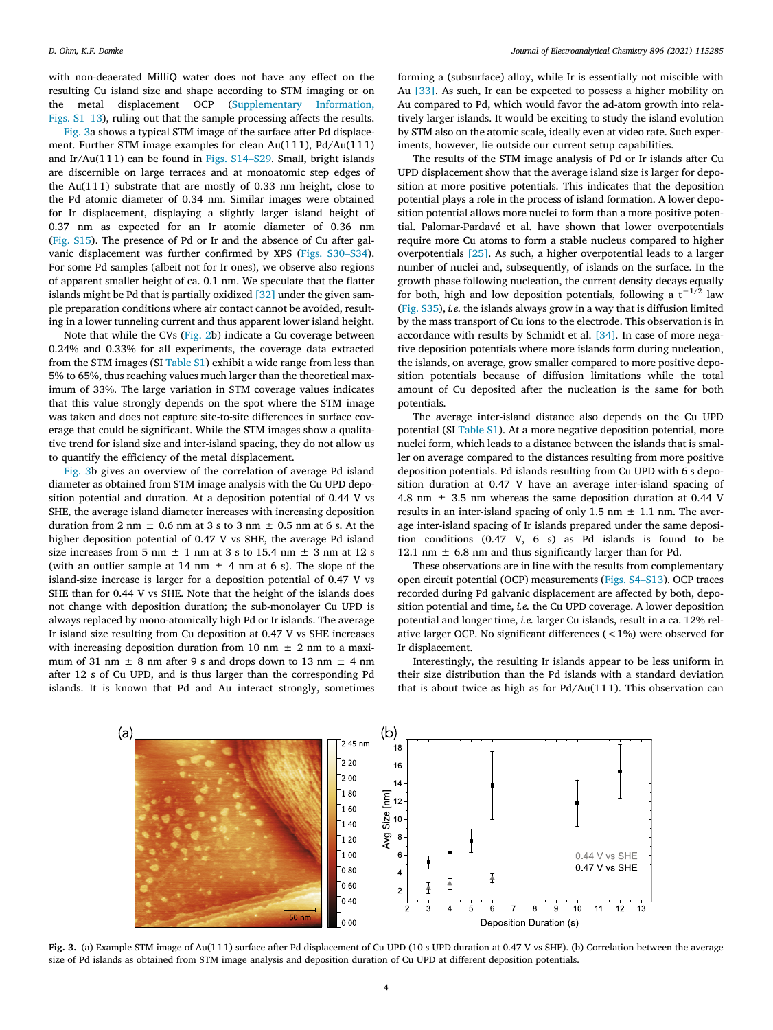with non-deaerated MilliQ water does not have any effect on the resulting Cu island size and shape according to STM imaging or on the metal displacement OCP (Supplementary Information, with non-deaerated MilliQ water does not have any effect on the resulting Cu island size and shape according to STM imaging or on the metal displacement OCP (Supplementary Information, Figs. S1–13), ruling out that the sam

Fig. 3a shows a typical STM image of the surface after Pd displacement. Further STM image examples for clean Au(1 1 1), Pd/Au(11 1) Figs.  $S1-13$ ), ruling out that the sample processing affects the results.<br>Fig. 3a shows a typical STM image of the surface after Pd displace-<br>ment. Further STM image examples for clean Au(111), Pd/Au(111)<br>and Ir/Au(111) are discernible on large terraces and at monoatomic step edges of the Au $(111)$  substrate that are mostly of 0.33 nm height, close to the Pd atomic diameter of 0.34 nm. Similar images were obtained for Ir displacement, displaying a slightly larger island height of 0.37 nm as expected for an Ir atomic diameter of 0.36 nm (Fig. S15). The presence of Pd or Ir and the absence of Cu after galvanic displacement was further 0.37 nm as expected for an Ir atomic diameter of 0.36 nm (Fig. S15). The presence of Pd or Ir and the absence of Cu after gal-For some Pd samples (albeit not for Ir ones), we observe also regions of apparent smaller height of ca. 0.1 nm. We speculate that the flatter islands might be Pd that is partially oxidized [\[32\]](#page-6-0) under the given sample preparation conditions where air contact cannot be avoided, resulting in a lower tunneling current and thus apparent lower island height.

Note that while the CVs [\(Fig. 2b](#page-2-0)) indicate a Cu coverage between 0.24% and 0.33% for all experiments, the coverage data extracted from the STM images (SI Table S1) exhibit a wide range from less than 5% to 65%, thus reaching values much larger than the theoretical maximum of 33%. The large variation in STM coverage values indicates that this value strongly depends on the spot where the STM image was taken and does not capture site-to-site differences in surface coverage that could be significant. While the STM images show a qualitative trend for island size and inter-island spacing, they do not allow us to quantify the efficiency of the metal displacement.

Fig. 3b gives an overview of the correlation of average Pd island diameter as obtained from STM image analysis with the Cu UPD deposition potential and duration. At a deposition potential of 0.44 V vs SHE, the average island diameter increases with increasing deposition duration from 2 nm  $\pm$  0.6 nm at 3 s to 3 nm  $\pm$  0.5 nm at 6 s. At the higher deposition potential of 0.47 V vs SHE, the average Pd island size increases from 5 nm  $\pm$  1 nm at 3 s to 15.4 nm  $\pm$  3 nm at 12 s (with an outlier sample at 14 nm  $\pm$  4 nm at 6 s). The slope of the island-size increase is larger for a deposition potential of 0.47 V vs SHE than for 0.44 V vs SHE. Note that the height of the islands does not change with deposition duration; the sub-monolayer Cu UPD is always replaced by mono-atomically high Pd or Ir islands. The average Ir island size resulting from Cu deposition at 0.47 V vs SHE increases with increasing deposition duration from 10 nm  $\pm$  2 nm to a maximum of 31 nm  $\pm$  8 nm after 9 s and drops down to 13 nm  $\pm$  4 nm after 12 s of Cu UPD, and is thus larger than the corresponding Pd islands. It is known that Pd and Au interact strongly, sometimes forming a (subsurface) alloy, while Ir is essentially not miscible with Au [\[33\].](#page-6-0) As such, Ir can be expected to possess a higher mobility on Au compared to Pd, which would favor the ad-atom growth into relatively larger islands. It would be exciting to study the island evolution by STM also on the atomic scale, ideally even at video rate. Such experiments, however, lie outside our current setup capabilities.

The results of the STM image analysis of Pd or Ir islands after Cu UPD displacement show that the average island size is larger for deposition at more positive potentials. This indicates that the deposition potential plays a role in the process of island formation. A lower deposition potential allows more nuclei to form than a more positive potential. Palomar-Pardavé et al. have shown that lower overpotentials require more Cu atoms to form a stable nucleus compared to higher overpotentials [\[25\]](#page-6-0). As such, a higher overpotential leads to a larger number of nuclei and, subsequently, of islands on the surface. In the growth phase following nucleation, the current density decays equally for both, high and low deposition potentials, following a  $t^{-1/2}$  law (Fig. S35), i.e. the islands always grow in a way that is diffusion limited by the mass transport of Cu ions to the electrode. This observation is in accordance with results by Schmidt et al. [\[34\]](#page-6-0). In case of more negative deposition potentials where more islands form during nucleation, the islands, on average, grow smaller compared to more positive deposition potentials because of diffusion limitations while the total amount of Cu deposited after the nucleation is the same for both potentials.

The average inter-island distance also depends on the Cu UPD potential (SI Table S1). At a more negative deposition potential, more nuclei form, which leads to a distance between the islands that is smaller on average compared to the distances resulting from more positive deposition potentials. Pd islands resulting from Cu UPD with 6 s deposition duration at 0.47 V have an average inter-island spacing of 4.8 nm ± 3.5 nm whereas the same deposition duration at 0.44 V results in an inter-island spacing of only 1.5 nm  $\pm$  1.1 nm. The average inter-island spacing of Ir islands prepared under the same deposition conditions  $(0.47 \text{ V}, 6 \text{ s})$  as Pd islands is found to be 12.1 nm  $\pm$  6.8 nm and thus significantly larger than for Pd.<br>These observations are in line with the results from complementary open circuit potential (OC 12.1 nm  $\pm$  6.8 nm and thus significantly larger than for Pd.

These observations are in line with the results from complementary recorded during Pd galvanic displacement are affected by both, deposition potential and time, i.e. the Cu UPD coverage. A lower deposition potential and longer time, i.e. larger Cu islands, result in a ca. 12% relative larger OCP. No significant differences (<1%) were observed for Ir displacement.

Interestingly, the resulting Ir islands appear to be less uniform in their size distribution than the Pd islands with a standard deviation that is about twice as high as for  $Pd/Au(111)$ . This observation can



Fig. 3. (a) Example STM image of Au(1 1 1) surface after Pd displacement of Cu UPD (10 s UPD duration at 0.47 V vs SHE). (b) Correlation between the average size of Pd islands as obtained from STM image analysis and deposition duration of Cu UPD at different deposition potentials.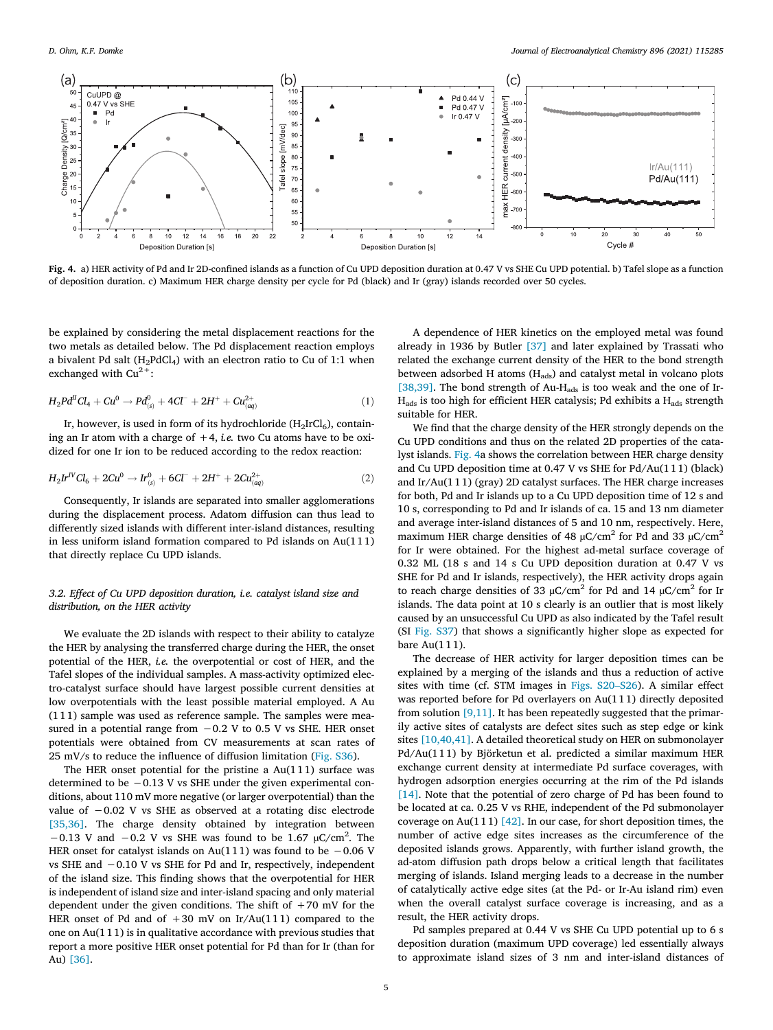<span id="page-4-0"></span>

Fig. 4. a) HER activity of Pd and Ir 2D-confined islands as a function of Cu UPD deposition duration at 0.47 V vs SHE Cu UPD potential. b) Tafel slope as a function of deposition duration. c) Maximum HER charge density per cycle for Pd (black) and Ir (gray) islands recorded over 50 cycles.

be explained by considering the metal displacement reactions for the two metals as detailed below. The Pd displacement reaction employs a bivalent Pd salt ( $H_2PdCl_4$ ) with an electron ratio to Cu of 1:1 when exchanged with  $Cu^{2+}$ :

$$
H_2 P d^I C l_4 + C u^0 \to P d^0_{(s)} + 4 C l^- + 2 H^+ + C u^{2+}_{(aq)} \tag{1}
$$

Ir, however, is used in form of its hydrochloride  $(H<sub>2</sub>IrCl<sub>6</sub>)$ , containing an Ir atom with a charge of  $+4$ , *i.e.* two Cu atoms have to be oxidized for one Ir ion to be reduced according to the redox reaction:

$$
H_2 Ir^{IV}Cl_6 + 2Cu^0 \rightarrow Ir^0_{(s)} + 6Cl^- + 2H^+ + 2Cu^{2+}_{(aq)} \tag{2}
$$

Consequently, Ir islands are separated into smaller agglomerations during the displacement process. Adatom diffusion can thus lead to differently sized islands with different inter-island distances, resulting in less uniform island formation compared to Pd islands on Au(1 1 1) that directly replace Cu UPD islands.

## 3.2. Effect of Cu UPD deposition duration, i.e. catalyst island size and distribution, on the HER activity

We evaluate the 2D islands with respect to their ability to catalyze the HER by analysing the transferred charge during the HER, the onset potential of the HER, i.e. the overpotential or cost of HER, and the Tafel slopes of the individual samples. A mass-activity optimized electro-catalyst surface should have largest possible current densities at low overpotentials with the least possible material employed. A Au (1 1 1) sample was used as reference sample. The samples were measured in a potential range from −0.2 V to 0.5 V vs SHE. HER onset potentials were obtained from CV measurements at scan rates of 25 mV/s to reduce the influence of diffusion limitation (Fig. S36).

The HER onset potential for the pristine a  $Au(111)$  surface was determined to be −0.13 V vs SHE under the given experimental conditions, about 110 mV more negative (or larger overpotential) than the value of −0.02 V vs SHE as observed at a rotating disc electrode [\[35,36\].](#page-6-0) The charge density obtained by integration between  $-0.13$  V and  $-0.2$  V vs SHE was found to be 1.67 µC/cm<sup>2</sup>. The HER onset for catalyst islands on Au(111) was found to be  $-0.06$  V vs SHE and −0.10 V vs SHE for Pd and Ir, respectively, independent of the island size. This finding shows that the overpotential for HER is independent of island size and inter-island spacing and only material dependent under the given conditions. The shift of  $+70$  mV for the HER onset of Pd and of  $+30$  mV on Ir/Au(111) compared to the one on Au(1 1 1) is in qualitative accordance with previous studies that report a more positive HER onset potential for Pd than for Ir (than for Au) [\[36\]](#page-6-0).

A dependence of HER kinetics on the employed metal was found already in 1936 by Butler [\[37\]](#page-6-0) and later explained by Trassati who related the exchange current density of the HER to the bond strength between adsorbed H atoms  $(H_{ads})$  and catalyst metal in volcano plots [\[38,39\].](#page-6-0) The bond strength of Au-H<sub>ads</sub> is too weak and the one of Ir- $H_{ads}$  is too high for efficient HER catalysis; Pd exhibits a  $H_{ads}$  strength suitable for HER.

We find that the charge density of the HER strongly depends on the Cu UPD conditions and thus on the related 2D properties of the catalyst islands. Fig. 4a shows the correlation between HER charge density and Cu UPD deposition time at 0.47 V vs SHE for Pd/Au(11 1) (black) and Ir/Au(1 1 1) (gray) 2D catalyst surfaces. The HER charge increases for both, Pd and Ir islands up to a Cu UPD deposition time of 12 s and 10 s, corresponding to Pd and Ir islands of ca. 15 and 13 nm diameter and average inter-island distances of 5 and 10 nm, respectively. Here, maximum HER charge densities of 48  $\mu$ C/cm<sup>2</sup> for Pd and 33  $\mu$ C/cm<sup>2</sup> for Ir were obtained. For the highest ad-metal surface coverage of 0.32 ML (18 s and 14 s Cu UPD deposition duration at 0.47 V vs SHE for Pd and Ir islands, respectively), the HER activity drops again to reach charge densities of 33  $\mu$ C/cm<sup>2</sup> for Pd and 14  $\mu$ C/cm<sup>2</sup> for Ir islands. The data point at 10 s clearly is an outlier that is most likely caused by an unsuccessful Cu UPD as also indicated by the Tafel result (SI Fig. S37) that shows a significantly higher slope as expected for bare Au(111).

The decrease of HER activity for larger deposition times can be explained by a merging of the islands and thus a reduction of active bare Au(111).<br>The decrease of HER activity for larger deposition times can be<br>explained by a merging of the islands and thus a reduction of active<br>sites with time (cf. STM images in Figs. S20–S26). A similar effect was reported before for Pd overlayers on Au(1 1 1) directly deposited from solution [\[9,11\]](#page-6-0). It has been repeatedly suggested that the primarily active sites of catalysts are defect sites such as step edge or kink sites [\[10,40,41\]](#page-6-0). A detailed theoretical study on HER on submonolayer Pd/Au(11 1) by Björketun et al. predicted a similar maximum HER exchange current density at intermediate Pd surface coverages, with hydrogen adsorption energies occurring at the rim of the Pd islands [\[14\].](#page-6-0) Note that the potential of zero charge of Pd has been found to be located at ca. 0.25 V vs RHE, independent of the Pd submonolayer coverage on Au(111)  $[42]$ . In our case, for short deposition times, the number of active edge sites increases as the circumference of the deposited islands grows. Apparently, with further island growth, the ad-atom diffusion path drops below a critical length that facilitates merging of islands. Island merging leads to a decrease in the number of catalytically active edge sites (at the Pd- or Ir-Au island rim) even when the overall catalyst surface coverage is increasing, and as a result, the HER activity drops.

Pd samples prepared at 0.44 V vs SHE Cu UPD potential up to 6 s deposition duration (maximum UPD coverage) led essentially always to approximate island sizes of 3 nm and inter-island distances of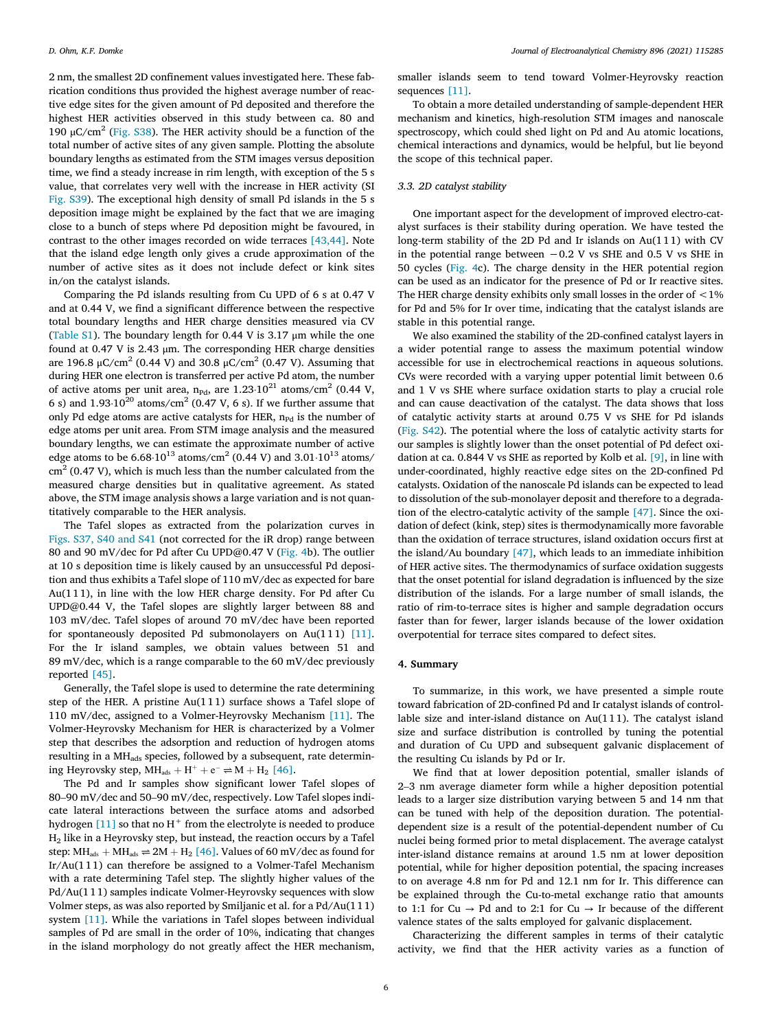2 nm, the smallest 2D confinement values investigated here. These fabrication conditions thus provided the highest average number of reactive edge sites for the given amount of Pd deposited and therefore the highest HER activities observed in this study between ca. 80 and 190  $\mu$ C/cm<sup>2</sup> (Fig. S38). The HER activity should be a function of the total number of active sites of any given sample. Plotting the absolute boundary lengths as estimated from the STM images versus deposition time, we find a steady increase in rim length, with exception of the 5 s value, that correlates very well with the increase in HER activity (SI Fig. S39). The exceptional high density of small Pd islands in the 5 s deposition image might be explained by the fact that we are imaging close to a bunch of steps where Pd deposition might be favoured, in contrast to the other images recorded on wide terraces [\[43,44\].](#page-6-0) Note that the island edge length only gives a crude approximation of the number of active sites as it does not include defect or kink sites in/on the catalyst islands.

Comparing the Pd islands resulting from Cu UPD of 6 s at 0.47 V and at 0.44 V, we find a significant difference between the respective total boundary lengths and HER charge densities measured via CV (Table S1). The boundary length for 0.44 V is 3.17 μm while the one found at 0.47 V is 2.43 μm. The corresponding HER charge densities are 196.8 μC/cm<sup>2</sup> (0.44 V) and 30.8 μC/cm<sup>2</sup> (0.47 V). Assuming that during HER one electron is transferred per active Pd atom, the number of active atoms per unit area,  $n_{Pd}$ , are  $1.23 \cdot 10^{21}$  atoms/cm<sup>2</sup> (0.44 V, 6 s) and  $1.93 \cdot 10^{20}$  atoms/cm<sup>2</sup> (0.47 V, 6 s). If we further assume that only Pd edge atoms are active catalysts for HER,  $n_{Pd}$  is the number of edge atoms per unit area. From STM image analysis and the measured boundary lengths, we can estimate the approximate number of active edge atoms to be  $6.68 \cdot 10^{13}$  atoms/cm<sup>2</sup> (0.44 V) and  $3.01 \cdot 10^{13}$  atoms/  $\text{cm}^2$  (0.47 V), which is much less than the number calculated from the measured charge densities but in qualitative agreement. As stated above, the STM image analysis shows a large variation and is not quantitatively comparable to the HER analysis.

The Tafel slopes as extracted from the polarization curves in Figs. S37, S40 and S41 (not corrected for the iR drop) range between 80 and 90 mV/dec for Pd after Cu UPD@0.47 V [\(Fig. 4b](#page-4-0)). The outlier at 10 s deposition time is likely caused by an unsuccessful Pd deposition and thus exhibits a Tafel slope of 110 mV/dec as expected for bare Au( $111$ ), in line with the low HER charge density. For Pd after Cu UPD@0.44 V, the Tafel slopes are slightly larger between 88 and 103 mV/dec. Tafel slopes of around 70 mV/dec have been reported for spontaneously deposited Pd submonolayers on Au(111)  $[11]$ . For the Ir island samples, we obtain values between 51 and 89 mV/dec, which is a range comparable to the 60 mV/dec previously reported [\[45\].](#page-6-0)

Generally, the Tafel slope is used to determine the rate determining step of the HER. A pristine Au(1 1 1) surface shows a Tafel slope of 110 mV/dec, assigned to a Volmer-Heyrovsky Mechanism [\[11\].](#page-6-0) The Volmer-Heyrovsky Mechanism for HER is characterized by a Volmer step that describes the adsorption and reduction of hydrogen atoms resulting in a MH<sub>ads</sub> species, followed by a subsequent, rate determin-<br>ing Heyrovsky step, MH<sub>ads</sub> + H<sup>+</sup> + e<sup>-</sup>  $\rightleftharpoons$  M + H<sub>2</sub> [46].<br>The Pd and Ir samples show significant lower Tafel slopes of<br>80–90 mV/dec and 50–9 ing Heyrovsky step,  $MH_{ads} + H^+ + e^- \rightleftharpoons M + H_2$  [\[46\].](#page-6-0)

The Pd and Ir samples show significant lower Tafel slopes of cate lateral interactions between the surface atoms and adsorbed hydrogen [\[11\]](#page-6-0) so that no  $H^+$  from the electrolyte is needed to produce H2 like in a Heyrovsky step, but instead, the reaction occurs by a Tafel step: MH<sub>ads</sub>  $+$  MH<sub>ads</sub>  $\rightleftharpoons$  2M  $+$  H<sub>2</sub> [\[46\].](#page-6-0) Values of 60 mV/dec as found for Ir/Au(1 11) can therefore be assigned to a Volmer-Tafel Mechanism with a rate determining Tafel step. The slightly higher values of the Pd/Au(11 1) samples indicate Volmer-Heyrovsky sequences with slow Volmer steps, as was also reported by Smiljanic et al. for a Pd/Au(11 1) system [\[11\].](#page-6-0) While the variations in Tafel slopes between individual samples of Pd are small in the order of 10%, indicating that changes in the island morphology do not greatly affect the HER mechanism,

smaller islands seem to tend toward Volmer-Heyrovsky reaction sequences [\[11\]](#page-6-0).

To obtain a more detailed understanding of sample-dependent HER mechanism and kinetics, high-resolution STM images and nanoscale spectroscopy, which could shed light on Pd and Au atomic locations, chemical interactions and dynamics, would be helpful, but lie beyond the scope of this technical paper.

### 3.3. 2D catalyst stability

One important aspect for the development of improved electro-catalyst surfaces is their stability during operation. We have tested the long-term stability of the 2D Pd and Ir islands on  $Au(111)$  with CV in the potential range between  $-0.2$  V vs SHE and 0.5 V vs SHE in 50 cycles [\(Fig. 4](#page-4-0)c). The charge density in the HER potential region can be used as an indicator for the presence of Pd or Ir reactive sites. The HER charge density exhibits only small losses in the order of  $<$  1% for Pd and 5% for Ir over time, indicating that the catalyst islands are stable in this potential range.

We also examined the stability of the 2D-confined catalyst layers in a wider potential range to assess the maximum potential window accessible for use in electrochemical reactions in aqueous solutions. CVs were recorded with a varying upper potential limit between 0.6 and 1 V vs SHE where surface oxidation starts to play a crucial role and can cause deactivation of the catalyst. The data shows that loss of catalytic activity starts at around 0.75 V vs SHE for Pd islands (Fig. S42). The potential where the loss of catalytic activity starts for our samples is slightly lower than the onset potential of Pd defect oxidation at ca. 0.844 V vs SHE as reported by Kolb et al. [\[9\]](#page-6-0), in line with under-coordinated, highly reactive edge sites on the 2D-confined Pd catalysts. Oxidation of the nanoscale Pd islands can be expected to lead to dissolution of the sub-monolayer deposit and therefore to a degradation of the electro-catalytic activity of the sample [\[47\].](#page-6-0) Since the oxidation of defect (kink, step) sites is thermodynamically more favorable than the oxidation of terrace structures, island oxidation occurs first at the island/Au boundary [\[47\],](#page-6-0) which leads to an immediate inhibition of HER active sites. The thermodynamics of surface oxidation suggests that the onset potential for island degradation is influenced by the size distribution of the islands. For a large number of small islands, the ratio of rim-to-terrace sites is higher and sample degradation occurs faster than for fewer, larger islands because of the lower oxidation overpotential for terrace sites compared to defect sites.

### 4. Summary

To summarize, in this work, we have presented a simple route toward fabrication of 2D-confined Pd and Ir catalyst islands of controllable size and inter-island distance on  $Au(111)$ . The catalyst island size and surface distribution is controlled by tuning the potential and duration of Cu UPD and subsequent galvanic displacement of <sup>2</sup>–3 nm average diameter form while a higher deposition potential the resulting Cu islands by Pd or Ir.

We find that at lower deposition potential, smaller islands of leads to a larger size distribution varying between 5 and 14 nm that can be tuned with help of the deposition duration. The potentialdependent size is a result of the potential-dependent number of Cu nuclei being formed prior to metal displacement. The average catalyst inter-island distance remains at around 1.5 nm at lower deposition potential, while for higher deposition potential, the spacing increases to on average 4.8 nm for Pd and 12.1 nm for Ir. This difference can be explained through the Cu-to-metal exchange ratio that amounts to 1:1 for Cu  $\rightarrow$  Pd and to 2:1 for Cu  $\rightarrow$  Ir because of the different valence states of the salts employed for galvanic displacement.

Characterizing the different samples in terms of their catalytic activity, we find that the HER activity varies as a function of